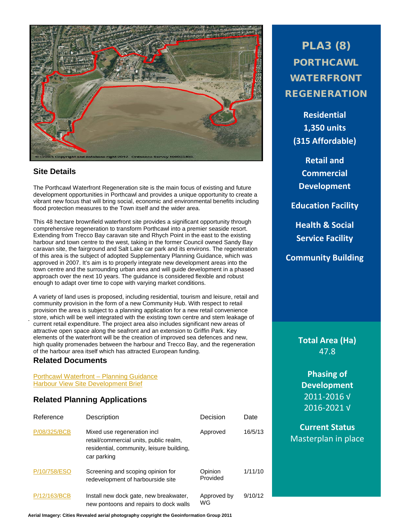

#### **Site Details**

The Porthcawl Waterfront Regeneration site is the main focus of existing and future development opportunities in Porthcawl and provides a unique opportunity to create a vibrant new focus that will bring social, economic and environmental benefits including flood protection measures to the Town itself and the wider area.

This 48 hectare brownfield waterfront site provides a significant opportunity through comprehensive regeneration to transform Porthcawl into a premier seaside resort. Extending from Trecco Bay caravan site and Rhych Point in the east to the existing harbour and town centre to the west, taking in the former Council owned Sandy Bay caravan site, the fairground and Salt Lake car park and its environs. The regeneration of this area is the subject of adopted Supplementary Planning Guidance, which was approved in 2007. It's aim is to properly integrate new development areas into the town centre and the surrounding urban area and will guide development in a phased approach over the next 10 years. The guidance is considered flexible and robust enough to adapt over time to cope with varying market conditions.

A variety of land uses is proposed, including residential, tourism and leisure, retail and community provision in the form of a new Community Hub. With respect to retail provision the area is subject to a planning application for a new retail convenience store, which will be well integrated with the existing town centre and stem leakage of current retail expenditure. The project area also includes significant new areas of attractive open space along the seafront and an extension to Griffin Park. Key elements of the waterfront will be the creation of improved sea defences and new, high quality promenades between the harbour and Trecco Bay, and the regeneration of the harbour area itself which has attracted European funding.

## **Related Documents**

.

[Porthcawl Waterfront –](http://www1.bridgend.gov.uk/services/planning/supplementary-planning-guidance-spg/porthcawl-waterfront-planning-guidance.aspx) Planning Guidance [Harbour View Site Development Brief](http://www1.bridgend.gov.uk/media/164424/SD61.pdf)

## **Related Planning Applications**

| Reference    | Description                                                                                                                       | Decision            | Date    |
|--------------|-----------------------------------------------------------------------------------------------------------------------------------|---------------------|---------|
| P/08/325/BCB | Mixed use regeneration incl<br>retail/commercial units, public realm,<br>residential, community, leisure building,<br>car parking | Approved            | 16/5/13 |
| P/10/758/ESO | Screening and scoping opinion for<br>redevelopment of harbourside site                                                            | Opinion<br>Provided | 1/11/10 |
| P/12/163/BCB | Install new dock gate, new breakwater,<br>new pontoons and repairs to dock walls                                                  | Approved by<br>WG   | 9/10/12 |

**Aerial Imagery: Cities Revealed aerial photography copyright the Geoinformation Group 2011**

PLA3 (8) PORTHCAWL WATERFRONT REGENERATION

**Residential 1,350 units (315 Affordable)**

**Retail and Commercial Development**

**Education Facility**

**Health & Social Service Facility**

**Community Building**

**Total Area (Ha)** 47.8

**Phasing of Development** 2011-2016 √ 2016-2021 √

**Current Status** Masterplan in place